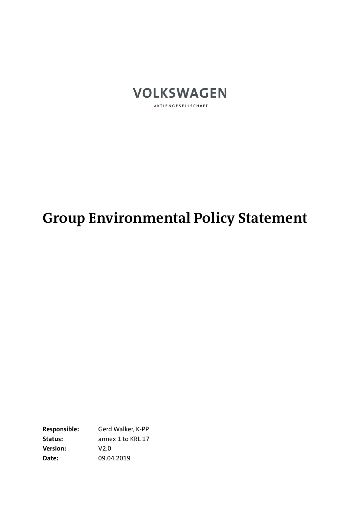

# **Group Environmental Policy Statement**

**Responsible:** Gerd Walker, K-PP **Status:** annex 1 to KRL 17 **Version:** V2.0 **Date:** 09.04.2019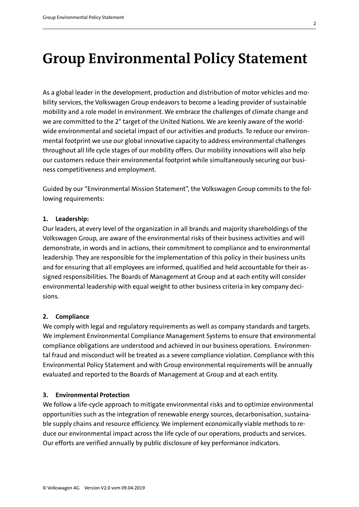# **Group Environmental Policy Statement**

As a global leader in the development, production and distribution of motor vehicles and mobility services, the Volkswagen Group endeavors to become a leading provider of sustainable mobility and a role model in environment. We embrace the challenges of climate change and we are committed to the 2° target of the United Nations. We are keenly aware of the worldwide environmental and societal impact of our activities and products. To reduce our environmental footprint we use our global innovative capacity to address environmental challenges throughout all life cycle stages of our mobility offers. Our mobility innovations will also help our customers reduce their environmental footprint while simultaneously securing our business competitiveness and employment.

Guided by our "Environmental Mission Statement", the Volkswagen Group commits to the following requirements:

#### **1. Leadership:**

Our leaders, at every level of the organization in all brands and majority shareholdings of the Volkswagen Group, are aware of the environmental risks of their business activities and will demonstrate, in words and in actions, their commitment to compliance and to environmental leadership. They are responsible for the implementation of this policy in their business units and for ensuring that all employees are informed, qualified and held accountable for their assigned responsibilities. The Boards of Management at Group and at each entity will consider environmental leadership with equal weight to other business criteria in key company decisions.

## **2. Compliance**

We comply with legal and regulatory requirements as well as company standards and targets. We implement Environmental Compliance Management Systems to ensure that environmental compliance obligations are understood and achieved in our business operations. Environmental fraud and misconduct will be treated as a severe compliance violation. Compliance with this Environmental Policy Statement and with Group environmental requirements will be annually evaluated and reported to the Boards of Management at Group and at each entity.

#### **3. Environmental Protection**

We follow a life-cycle approach to mitigate environmental risks and to optimize environmental opportunities such as the integration of renewable energy sources, decarbonisation, sustainable supply chains and resource efficiency. We implement economically viable methods to reduce our environmental impact across the life cycle of our operations, products and services. Our efforts are verified annually by public disclosure of key performance indicators.